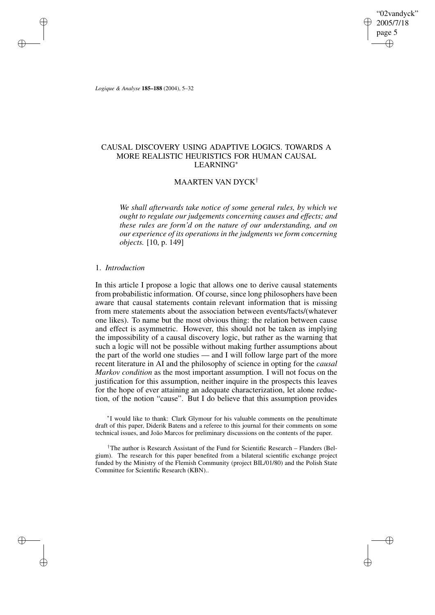"02vandyck" 2005/7/18 page 5 ✐ ✐

✐

✐

*Logique & Analyse* **185–188** (2004), 5–32

✐

✐

✐

✐

# CAUSAL DISCOVERY USING ADAPTIVE LOGICS. TOWARDS A MORE REALISTIC HEURISTICS FOR HUMAN CAUSAL LEARNING<sup>∗</sup>

# MAARTEN VAN DYCK†

*We shall afterwards take notice of some general rules, by which we ought to regulate our judgements concerning causes and effects; and these rules are form'd on the nature of our understanding, and on our experience of its operations in the judgments we form concerning objects.* [10, p. 149]

#### 1. *Introduction*

In this article I propose a logic that allows one to derive causal statements from probabilistic information. Of course, since long philosophers have been aware that causal statements contain relevant information that is missing from mere statements about the association between events/facts/(whatever one likes). To name but the most obvious thing: the relation between cause and effect is asymmetric. However, this should not be taken as implying the impossibility of a causal discovery logic, but rather as the warning that such a logic will not be possible without making further assumptions about the part of the world one studies — and I will follow large part of the more recent literature in AI and the philosophy of science in opting for the *causal Markov condition* as the most important assumption. I will not focus on the justification for this assumption, neither inquire in the prospects this leaves for the hope of ever attaining an adequate characterization, let alone reduction, of the notion "cause". But I do believe that this assumption provides

∗ I would like to thank: Clark Glymour for his valuable comments on the penultimate draft of this paper, Diderik Batens and a referee to this journal for their comments on some technical issues, and João Marcos for preliminary discussions on the contents of the paper.

†The author is Research Assistant of the Fund for Scientific Research – Flanders (Belgium). The research for this paper benefited from a bilateral scientific exchange project funded by the Ministry of the Flemish Community (project BIL/01/80) and the Polish State Committee for Scientific Research (KBN)..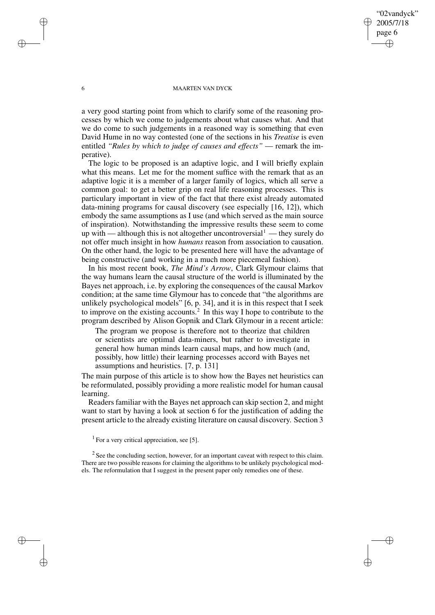## "02vandyck" 2005/7/18 page 6 ✐ ✐

✐

✐

#### 6 MAARTEN VAN DYCK

a very good starting point from which to clarify some of the reasoning processes by which we come to judgements about what causes what. And that we do come to such judgements in a reasoned way is something that even David Hume in no way contested (one of the sections in his *Treatise* is even entitled *"Rules by which to judge of causes and effects"* — remark the imperative).

The logic to be proposed is an adaptive logic, and I will briefly explain what this means. Let me for the moment suffice with the remark that as an adaptive logic it is a member of a larger family of logics, which all serve a common goal: to get a better grip on real life reasoning processes. This is particulary important in view of the fact that there exist already automated data-mining programs for causal discovery (see especially [16, 12]), which embody the same assumptions as I use (and which served as the main source of inspiration). Notwithstanding the impressive results these seem to come up with — although this is not altogether uncontroversial  $\ell$  — they surely do not offer much insight in how *humans* reason from association to causation. On the other hand, the logic to be presented here will have the advantage of being constructive (and working in a much more piecemeal fashion).

In his most recent book, *The Mind's Arrow*, Clark Glymour claims that the way humans learn the causal structure of the world is illuminated by the Bayes net approach, i.e. by exploring the consequences of the causal Markov condition; at the same time Glymour has to concede that "the algorithms are unlikely psychological models" [6, p. 34], and it is in this respect that I seek to improve on the existing accounts.<sup>2</sup> In this way I hope to contribute to the program described by Alison Gopnik and Clark Glymour in a recent article:

The program we propose is therefore not to theorize that children or scientists are optimal data-miners, but rather to investigate in general how human minds learn causal maps, and how much (and, possibly, how little) their learning processes accord with Bayes net assumptions and heuristics. [7, p. 131]

The main purpose of this article is to show how the Bayes net heuristics can be reformulated, possibly providing a more realistic model for human causal learning.

Readers familiar with the Bayes net approach can skip section 2, and might want to start by having a look at section 6 for the justification of adding the present article to the already existing literature on causal discovery. Section 3

 $2$  See the concluding section, however, for an important caveat with respect to this claim. There are two possible reasons for claiming the algorithms to be unlikely psychological models. The reformulation that I suggest in the present paper only remedies one of these.

✐

✐

✐

 $<sup>1</sup>$  For a very critical appreciation, see [5].</sup>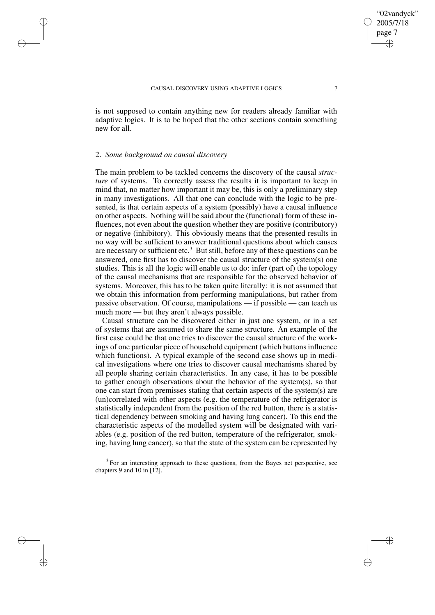is not supposed to contain anything new for readers already familiar with adaptive logics. It is to be hoped that the other sections contain something new for all.

## 2. *Some background on causal discovery*

✐

✐

✐

✐

The main problem to be tackled concerns the discovery of the causal *structure* of systems. To correctly assess the results it is important to keep in mind that, no matter how important it may be, this is only a preliminary step in many investigations. All that one can conclude with the logic to be presented, is that certain aspects of a system (possibly) have a causal influence on other aspects. Nothing will be said about the (functional) form of these influences, not even about the question whether they are positive (contributory) or negative (inhibitory). This obviously means that the presented results in no way will be sufficient to answer traditional questions about which causes are necessary or sufficient etc.<sup>3</sup> But still, before any of these questions can be answered, one first has to discover the causal structure of the system(s) one studies. This is all the logic will enable us to do: infer (part of) the topology of the causal mechanisms that are responsible for the observed behavior of systems. Moreover, this has to be taken quite literally: it is not assumed that we obtain this information from performing manipulations, but rather from passive observation. Of course, manipulations — if possible — can teach us much more — but they aren't always possible.

Causal structure can be discovered either in just one system, or in a set of systems that are assumed to share the same structure. An example of the first case could be that one tries to discover the causal structure of the workings of one particular piece of household equipment (which buttons influence which functions). A typical example of the second case shows up in medical investigations where one tries to discover causal mechanisms shared by all people sharing certain characteristics. In any case, it has to be possible to gather enough observations about the behavior of the system(s), so that one can start from premisses stating that certain aspects of the system(s) are (un)correlated with other aspects (e.g. the temperature of the refrigerator is statistically independent from the position of the red button, there is a statistical dependency between smoking and having lung cancer). To this end the characteristic aspects of the modelled system will be designated with variables (e.g. position of the red button, temperature of the refrigerator, smoking, having lung cancer), so that the state of the system can be represented by

 $3$  For an interesting approach to these questions, from the Bayes net perspective, see chapters 9 and 10 in [12].

02vandyck" 2005/7/18 page 7

✐

✐

✐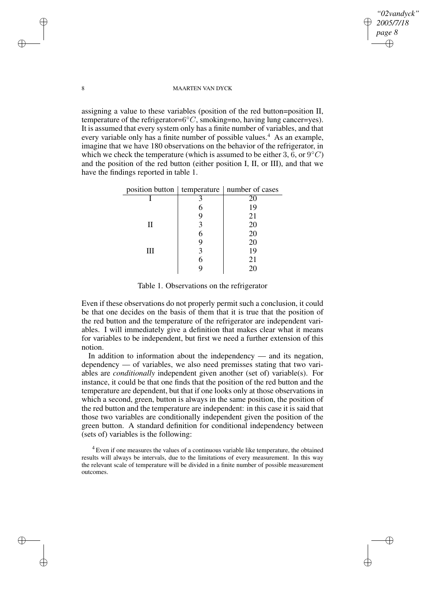*"02vandyck" 2005/7/18 page 8* ✐ ✐

✐

✐

#### 8 MAARTEN VAN DYCK

assigning a value to these variables (position of the red button=position II, temperature of the refrigerator= $6^{\circ}C$ , smoking=no, having lung cancer=yes). It is assumed that every system only has a finite number of variables, and that every variable only has a finite number of possible values.<sup>4</sup> As an example, imagine that we have 180 observations on the behavior of the refrigerator, in which we check the temperature (which is assumed to be either 3,  $\vec{6}$ , or  $9^{\circ}C$ ) and the position of the red button (either position I, II, or III), and that we have the findings reported in table 1.

|   | position button   temperature   number of cases |
|---|-------------------------------------------------|
|   | 20                                              |
|   | 19                                              |
|   | 21                                              |
| Н | 20                                              |
|   | 20                                              |
|   | 20                                              |
| Ш | 19                                              |
|   |                                                 |

Table 1. Observations on the refrigerator

9 20

Even if these observations do not properly permit such a conclusion, it could be that one decides on the basis of them that it is true that the position of the red button and the temperature of the refrigerator are independent variables. I will immediately give a definition that makes clear what it means for variables to be independent, but first we need a further extension of this notion.

In addition to information about the independency — and its negation, dependency — of variables, we also need premisses stating that two variables are *conditionally* independent given another (set of) variable(s). For instance, it could be that one finds that the position of the red button and the temperature are dependent, but that if one looks only at those observations in which a second, green, button is always in the same position, the position of the red button and the temperature are independent: in this case it is said that those two variables are conditionally independent given the position of the green button. A standard definition for conditional independency between (sets of) variables is the following:

<sup>4</sup> Even if one measures the values of a continuous variable like temperature, the obtained results will always be intervals, due to the limitations of every measurement. In this way the relevant scale of temperature will be divided in a finite number of possible measurement outcomes.

✐

✐

✐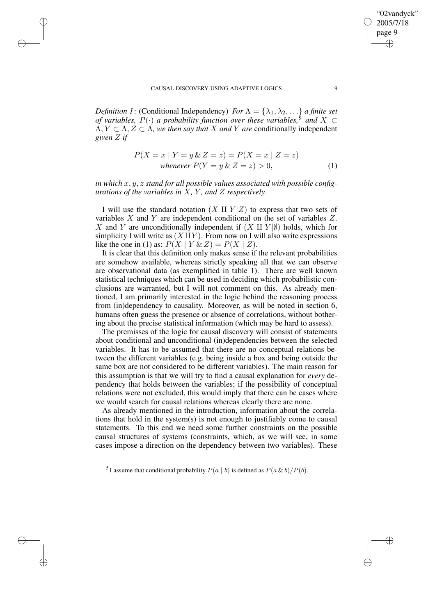✐

✐

✐

✐

*Definition* 1: (Conditional Independency) *For*  $\Lambda = {\lambda_1, \lambda_2, \ldots}$  *a finite set of variables,*  $P(\cdot)$  *a probability function over these variables,*<sup>5</sup> *and*  $X \subset$  $\Lambda, Y \subset \Lambda, Z \subset \Lambda$ , we then say that X and Y are conditionally independent *given* Z *if*

$$
P(X = x | Y = y \& Z = z) = P(X = x | Z = z)
$$
  
whenever 
$$
P(Y = y \& Z = z) > 0,
$$
 (1)

*in which* x, y, z *stand for all possible values associated with possible configurations of the variables in* X*,* Y *, and* Z *respectively.*

I will use the standard notation  $(X \amalg Y | Z)$  to express that two sets of variables X and Y are independent conditional on the set of variables Z. X and Y are unconditionally independent if  $(X \amalg Y | \emptyset)$  holds, which for simplicity I will write as  $(X \mathbf{I} Y)$ . From now on I will also write expressions like the one in (1) as:  $P(X | Y \& Z) = P(X | Z)$ .

It is clear that this definition only makes sense if the relevant probabilities are somehow available, whereas strictly speaking all that we can observe are observational data (as exemplified in table 1). There are well known statistical techniques which can be used in deciding which probabilistic conclusions are warranted, but I will not comment on this. As already mentioned, I am primarily interested in the logic behind the reasoning process from (in)dependency to causality. Moreover, as will be noted in section 6, humans often guess the presence or absence of correlations, without bothering about the precise statistical information (which may be hard to assess).

The premisses of the logic for causal discovery will consist of statements about conditional and unconditional (in)dependencies between the selected variables. It has to be assumed that there are no conceptual relations between the different variables (e.g. being inside a box and being outside the same box are not considered to be different variables). The main reason for this assumption is that we will try to find a causal explanation for *every* dependency that holds between the variables; if the possibility of conceptual relations were not excluded, this would imply that there can be cases where we would search for causal relations whereas clearly there are none.

As already mentioned in the introduction, information about the correlations that hold in the system(s) is not enough to justifiably come to causal statements. To this end we need some further constraints on the possible causal structures of systems (constraints, which, as we will see, in some cases impose a direction on the dependency between two variables). These

"02vandyck" 2005/7/18 page 9

✐

✐

✐

<sup>&</sup>lt;sup>5</sup>I assume that conditional probability  $P(a | b)$  is defined as  $P(a \& b)/P(b)$ .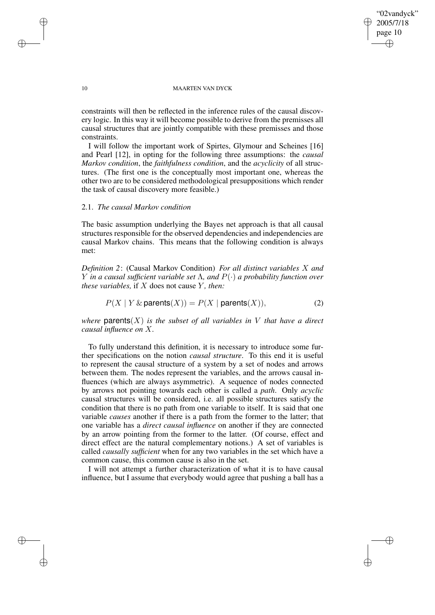## "02vandyck" 2005/7/18 page 10 ✐ ✐

✐

✐

#### 10 MAARTEN VAN DYCK

constraints will then be reflected in the inference rules of the causal discovery logic. In this way it will become possible to derive from the premisses all causal structures that are jointly compatible with these premisses and those constraints.

I will follow the important work of Spirtes, Glymour and Scheines [16] and Pearl [12], in opting for the following three assumptions: the *causal Markov condition*, the *faithfulness condition*, and the *acyclicity* of all structures. (The first one is the conceptually most important one, whereas the other two are to be considered methodological presuppositions which render the task of causal discovery more feasible.)

# 2.1. *The causal Markov condition*

The basic assumption underlying the Bayes net approach is that all causal structures responsible for the observed dependencies and independencies are causal Markov chains. This means that the following condition is always met:

*Definition 2*: (Causal Markov Condition) *For all distinct variables* X *and* Y *in a causal sufficient variable set* Λ*, and* P(·) *a probability function over these variables*, if  $X$  does not cause  $Y$ *, then:* 

$$
P(X \mid Y \& \text{parents}(X)) = P(X \mid \text{parents}(X)), \tag{2}
$$

*where* **parents** $(X)$  *is the subset of all variables in* V *that have a direct causal influence on* X*.*

To fully understand this definition, it is necessary to introduce some further specifications on the notion *causal structure*. To this end it is useful to represent the causal structure of a system by a set of nodes and arrows between them. The nodes represent the variables, and the arrows causal influences (which are always asymmetric). A sequence of nodes connected by arrows not pointing towards each other is called a *path*. Only *acyclic* causal structures will be considered, i.e. all possible structures satisfy the condition that there is no path from one variable to itself. It is said that one variable *causes* another if there is a path from the former to the latter; that one variable has a *direct causal influence* on another if they are connected by an arrow pointing from the former to the latter. (Of course, effect and direct effect are the natural complementary notions.) A set of variables is called *causally sufficient* when for any two variables in the set which have a common cause, this common cause is also in the set.

I will not attempt a further characterization of what it is to have causal influence, but I assume that everybody would agree that pushing a ball has a

✐

✐

✐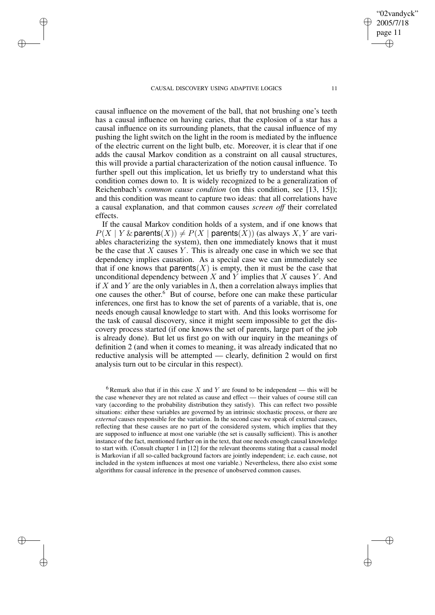✐

✐

✐

✐

causal influence on the movement of the ball, that not brushing one's teeth has a causal influence on having caries, that the explosion of a star has a causal influence on its surrounding planets, that the causal influence of my pushing the light switch on the light in the room is mediated by the influence of the electric current on the light bulb, etc. Moreover, it is clear that if one adds the causal Markov condition as a constraint on all causal structures, this will provide a partial characterization of the notion causal influence. To further spell out this implication, let us briefly try to understand what this condition comes down to. It is widely recognized to be a generalization of Reichenbach's *common cause condition* (on this condition, see [13, 15]); and this condition was meant to capture two ideas: that all correlations have a causal explanation, and that common causes *screen off* their correlated effects.

If the causal Markov condition holds of a system, and if one knows that  $P(X | Y \& \text{parents}(X)) \neq P(X | \text{parents}(X))$  (as always X, Y are variables characterizing the system), then one immediately knows that it must be the case that  $X$  causes  $Y$ . This is already one case in which we see that dependency implies causation. As a special case we can immediately see that if one knows that parents $(X)$  is empty, then it must be the case that unconditional dependency between  $X$  and  $\overline{Y}$  implies that  $X$  causes  $Y$ . And if X and Y are the only variables in  $\Lambda$ , then a correlation always implies that one causes the other.<sup>6</sup> But of course, before one can make these particular inferences, one first has to know the set of parents of a variable, that is, one needs enough causal knowledge to start with. And this looks worrisome for the task of causal discovery, since it might seem impossible to get the discovery process started (if one knows the set of parents, large part of the job is already done). But let us first go on with our inquiry in the meanings of definition 2 (and when it comes to meaning, it was already indicated that no reductive analysis will be attempted — clearly, definition 2 would on first analysis turn out to be circular in this respect).

<sup>6</sup> Remark also that if in this case X and Y are found to be independent — this will be the case whenever they are not related as cause and effect — their values of course still can vary (according to the probability distribution they satisfy). This can reflect two possible situations: either these variables are governed by an intrinsic stochastic process, or there are *external* causes responsible for the variation. In the second case we speak of external causes, reflecting that these causes are no part of the considered system, which implies that they are supposed to influence at most one variable (the set is causally sufficient). This is another instance of the fact, mentioned further on in the text, that one needs enough causal knowledge to start with. (Consult chapter 1 in [12] for the relevant theorems stating that a causal model is Markovian if all so-called background factors are jointly independent; i.e. each cause, not included in the system influences at most one variable.) Nevertheless, there also exist some algorithms for causal inference in the presence of unobserved common causes.

"02vandyck" 2005/7/18 page 11

✐

✐

✐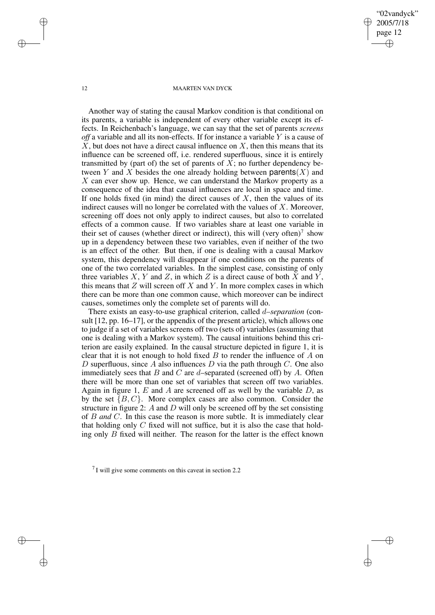## "02vandyck" 2005/7/18 page 12 ✐ ✐

✐

✐

#### 12 MAARTEN VAN DYCK

Another way of stating the causal Markov condition is that conditional on its parents, a variable is independent of every other variable except its effects. In Reichenbach's language, we can say that the set of parents *screens off* a variable and all its non-effects. If for instance a variable Y is a cause of  $X$ , but does not have a direct causal influence on  $X$ , then this means that its influence can be screened off, i.e. rendered superfluous, since it is entirely transmitted by (part of) the set of parents of  $X$ ; no further dependency between Y and X besides the one already holding between parents  $(X)$  and  $X$  can ever show up. Hence, we can understand the Markov property as a consequence of the idea that causal influences are local in space and time. If one holds fixed (in mind) the direct causes of  $X$ , then the values of its indirect causes will no longer be correlated with the values of  $X$ . Moreover, screening off does not only apply to indirect causes, but also to correlated effects of a common cause. If two variables share at least one variable in their set of causes (whether direct or indirect), this will (very often)<sup>7</sup> show up in a dependency between these two variables, even if neither of the two is an effect of the other. But then, if one is dealing with a causal Markov system, this dependency will disappear if one conditions on the parents of one of the two correlated variables. In the simplest case, consisting of only three variables X, Y and Z, in which Z is a direct cause of both X and Y, this means that  $Z$  will screen off  $X$  and  $Y$ . In more complex cases in which there can be more than one common cause, which moreover can be indirect causes, sometimes only the complete set of parents will do.

There exists an easy-to-use graphical criterion, called d*–separation* (consult [12, pp. 16–17], or the appendix of the present article), which allows one to judge if a set of variables screens off two (sets of) variables (assuming that one is dealing with a Markov system). The causal intuitions behind this criterion are easily explained. In the causal structure depicted in figure 1, it is clear that it is not enough to hold fixed  $B$  to render the influence of  $A$  on D superfluous, since A also influences D via the path through C. One also immediately sees that  $B$  and  $C$  are  $d$ -separated (screened off) by  $A$ . Often there will be more than one set of variables that screen off two variables. Again in figure 1,  $E$  and  $A$  are screened off as well by the variable  $D$ , as by the set  $\{B, C\}$ . More complex cases are also common. Consider the structure in figure 2:  $A$  and  $D$  will only be screened off by the set consisting of B *and* C. In this case the reason is more subtle. It is immediately clear that holding only  $C$  fixed will not suffice, but it is also the case that holding only B fixed will neither. The reason for the latter is the effect known

✐

✐

✐

 $7$  I will give some comments on this caveat in section 2.2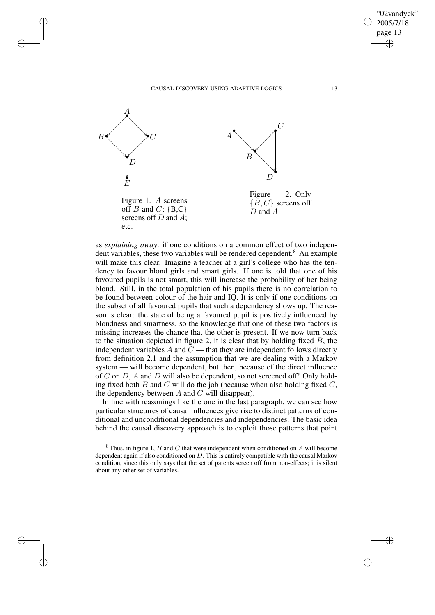

✐

✐

✐

✐

as *explaining away*: if one conditions on a common effect of two independent variables, these two variables will be rendered dependent.<sup>8</sup> An example will make this clear. Imagine a teacher at a girl's college who has the tendency to favour blond girls and smart girls. If one is told that one of his favoured pupils is not smart, this will increase the probability of her being blond. Still, in the total population of his pupils there is no correlation to be found between colour of the hair and IQ. It is only if one conditions on the subset of all favoured pupils that such a dependency shows up. The reason is clear: the state of being a favoured pupil is positively influenced by blondness and smartness, so the knowledge that one of these two factors is missing increases the chance that the other is present. If we now turn back to the situation depicted in figure 2, it is clear that by holding fixed  $B$ , the independent variables A and  $\tilde{C}$  — that they are independent follows directly from definition 2.1 and the assumption that we are dealing with a Markov system — will become dependent, but then, because of the direct influence of C on D, A and D will also be dependent, so not screened off! Only holding fixed both B and C will do the job (because when also holding fixed  $C$ , the dependency between  $A$  and  $C$  will disappear).

In line with reasonings like the one in the last paragraph, we can see how particular structures of causal influences give rise to distinct patterns of conditional and unconditional dependencies and independencies. The basic idea behind the causal discovery approach is to exploit those patterns that point

 $8$ Thus, in figure 1, B and C that were independent when conditioned on A will become dependent again if also conditioned on D. This is entirely compatible with the causal Markov condition, since this only says that the set of parents screen off from non-effects; it is silent about any other set of variables.

"02vandyck" 2005/7/18 page 13

✐

✐

✐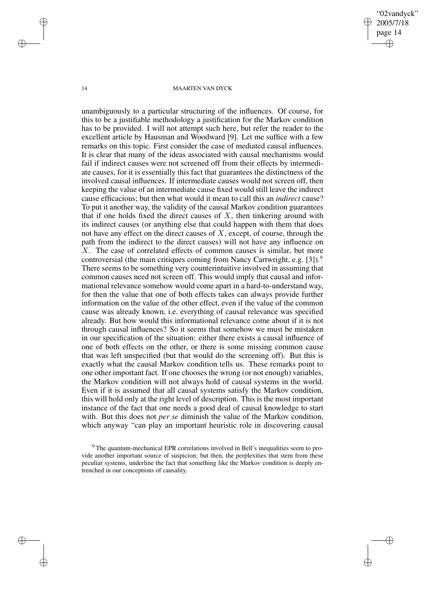"02vandyck" 2005/7/18 page 14 ✐ ✐

✐

✐

#### 14 MAARTEN VAN DYCK

unambiguously to a particular structuring of the influences. Of course, for this to be a justifiable methodology a justification for the Markov condition has to be provided. I will not attempt such here, but refer the reader to the excellent article by Hausman and Woodward [9]. Let me suffice with a few remarks on this topic. First consider the case of mediated causal influences. It is clear that many of the ideas associated with causal mechanisms would fail if indirect causes were not screened off from their effects by intermediate causes, for it is essentially this fact that guarantees the distinctness of the involved causal influences. If intermediate causes would not screen off, then keeping the value of an intermediate cause fixed would still leave the indirect cause efficacious; but then what would it mean to call this an *indirect* cause? To put it another way, the validity of the causal Markov condition guarantees that if one holds fixed the direct causes of  $X$ , then tinkering around with its indirect causes (or anything else that could happen with them that does not have any effect on the direct causes of  $X$ , except, of course, through the path from the indirect to the direct causes) will not have any influence on X. The case of correlated effects of common causes is similar, but more controversial (the main critiques coming from Nancy Cartwright, e.g. [3]).<sup>9</sup> There seems to be something very counterintuitive involved in assuming that common causes need not screen off. This would imply that causal and informational relevance somehow would come apart in a hard-to-understand way, for then the value that one of both effects takes can always provide further information on the value of the other effect, even if the value of the common cause was already known, i.e. everything of causal relevance was specified already. But how would this informational relevance come about if it is not through causal influences? So it seems that somehow we must be mistaken in our specification of the situation: either there exists a causal influence of one of both effects on the other, or there is some missing common cause that was left unspecified (but that would do the screening off). But this is exactly what the causal Markov condition tells us. These remarks point to one other important fact. If one chooses the wrong (or not enough) variables, the Markov condition will not always hold of causal systems in the world. Even if it is assumed that all causal systems satisfy the Markov condition, this will hold only at the right level of description. This is the most important instance of the fact that one needs a good deal of causal knowledge to start with. But this does not *per se* diminish the value of the Markov condition, which anyway "can play an important heuristic role in discovering causal

✐

✐

✐

<sup>9</sup> The quantum-mechanical EPR correlations involved in Bell's inequalities seem to provide another important source of suspicion; but then, the perplexities that stem from these peculiar systems, underline the fact that something like the Markov condition is deeply entrenched in our conceptions of causality.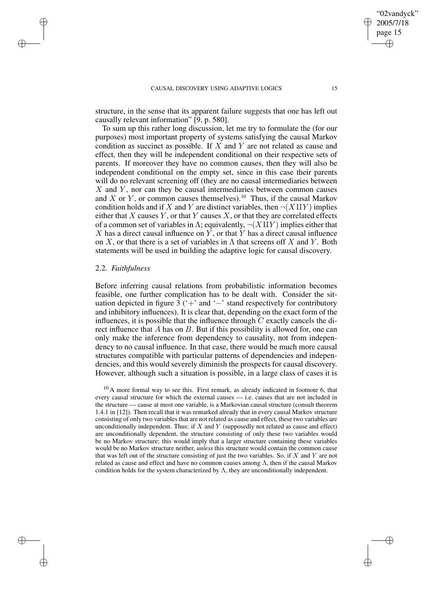structure, in the sense that its apparent failure suggests that one has left out causally relevant information" [9, p. 580].

To sum up this rather long discussion, let me try to formulate the (for our purposes) most important property of systems satisfying the causal Markov condition as succinct as possible. If X and Y are not related as cause and effect, then they will be independent conditional on their respective sets of parents. If moreover they have no common causes, then they will also be independent conditional on the empty set, since in this case their parents will do no relevant screening off (they are no causal intermediaries between  $X$  and  $Y$ , nor can they be causal intermediaries between common causes and X or Y, or common causes themselves).<sup>10</sup> Thus, if the causal Markov condition holds and if X and Y are distinct variables, then  $\neg(X \amalg Y)$  implies either that  $X$  causes  $Y$ , or that  $Y$  causes  $X$ , or that they are correlated effects of a common set of variables in Λ; equivalently,  $\neg(X \amalg Y)$  implies either that  $X$  has a direct causal influence on  $Y$ , or that  $Y$  has a direct causal influence on X, or that there is a set of variables in  $\Lambda$  that screens off X and Y. Both statements will be used in building the adaptive logic for causal discovery.

## 2.2. *Faithfulness*

✐

✐

✐

✐

Before inferring causal relations from probabilistic information becomes feasible, one further complication has to be dealt with. Consider the situation depicted in figure  $3$  ('+' and '−' stand respectively for contributory and inhibitory influences). It is clear that, depending on the exact form of the influences, it is possible that the influence through  $C$  exactly cancels the direct influence that A has on B. But if this possibility is allowed for, one can only make the inference from dependency to causality, not from independency to no causal influence. In that case, there would be much more causal structures compatible with particular patterns of dependencies and independencies, and this would severely diminish the prospects for causal discovery. However, although such a situation is possible, in a large class of cases it is

 $10$  A more formal way to see this. First remark, as already indicated in footnote 6, that every causal structure for which the external causes — i.e. causes that are not included in the structure — cause at most one variable, is a Markovian causal structure (consult theorem 1.4.1 in [12]). Then recall that it was remarked already that in every causal Markov structure consisting of only two variables that are not related as cause and effect, these two variables are unconditionally independent. Thus: if  $X$  and  $Y$  (supposedly not related as cause and effect) are unconditionally dependent, the structure consisting of only these two variables would be no Markov structure; this would imply that a larger structure containing these variables would be no Markov structure neither, *unless* this structure would contain the common cause that was left out of the structure consisting of just the two variables. So, if  $X$  and  $Y$  are not related as cause and effect and have no common causes among  $\Lambda$ , then if the causal Markov condition holds for the system characterized by  $\Lambda$ , they are unconditionally independent.

"02vandyck" 2005/7/18 page 15

✐

✐

✐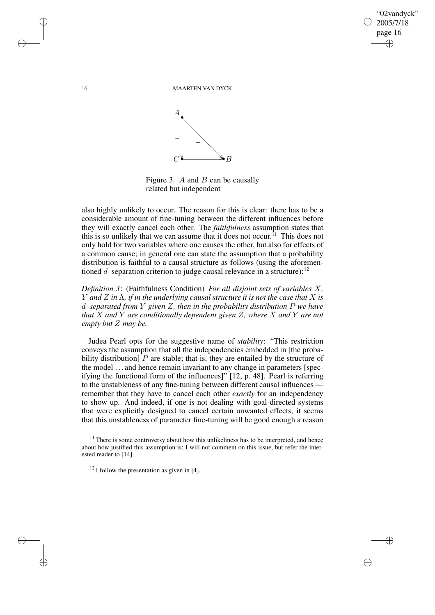✐

✐

16 MAARTEN VAN DYCK



Figure 3.  $A$  and  $B$  can be causally related but independent

also highly unlikely to occur. The reason for this is clear: there has to be a considerable amount of fine-tuning between the different influences before they will exactly cancel each other. The *faithfulness* assumption states that this is so unlikely that we can assume that it does not occur. <sup>11</sup> This does not only hold for two variables where one causes the other, but also for effects of a common cause; in general one can state the assumption that a probability distribution is faithful to a causal structure as follows (using the aforementioned d–separation criterion to judge causal relevance in a structure):  $12$ 

*Definition 3*: (Faithfulness Condition) *For all disjoint sets of variables* X*,* Y *and* Z *in* Λ*, if in the underlying causal structure it is not the case that* X *is* d*–separated from* Y *given* Z*, then in the probability distribution* P *we have that* X *and* Y *are conditionally dependent given* Z*, where* X *and* Y *are not empty but* Z *may be.*

Judea Pearl opts for the suggestive name of *stability*: "This restriction conveys the assumption that all the independencies embedded in [the probability distribution]  $P$  are stable; that is, they are entailed by the structure of the model . . . and hence remain invariant to any change in parameters [specifying the functional form of the influences]" [12, p. 48]. Pearl is referring to the unstableness of any fine-tuning between different causal influences remember that they have to cancel each other *exactly* for an independency to show up. And indeed, if one is not dealing with goal-directed systems that were explicitly designed to cancel certain unwanted effects, it seems that this unstableness of parameter fine-tuning will be good enough a reason

 $11$  There is some controversy about how this unlikeliness has to be interpreted, and hence about how justified this assumption is; I will not comment on this issue, but refer the interested reader to [14].

 $12$  I follow the presentation as given in [4].

✐

✐

✐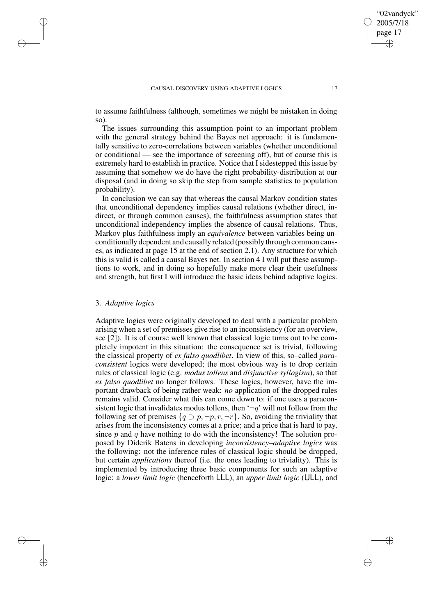to assume faithfulness (although, sometimes we might be mistaken in doing so).

The issues surrounding this assumption point to an important problem with the general strategy behind the Bayes net approach: it is fundamentally sensitive to zero-correlations between variables (whether unconditional or conditional — see the importance of screening off), but of course this is extremely hard to establish in practice. Notice that I sidestepped this issue by assuming that somehow we do have the right probability-distribution at our disposal (and in doing so skip the step from sample statistics to population probability).

In conclusion we can say that whereas the causal Markov condition states that unconditional dependency implies causal relations (whether direct, indirect, or through common causes), the faithfulness assumption states that unconditional independency implies the absence of causal relations. Thus, Markov plus faithfulness imply an *equivalence* between variables being unconditionally dependent and causally related (possibly through common causes, as indicated at page 15 at the end of section 2.1). Any structure for which this is valid is called a causal Bayes net. In section 4 I will put these assumptions to work, and in doing so hopefully make more clear their usefulness and strength, but first I will introduce the basic ideas behind adaptive logics.

## 3. *Adaptive logics*

✐

✐

✐

✐

Adaptive logics were originally developed to deal with a particular problem arising when a set of premisses give rise to an inconsistency (for an overview, see [2]). It is of course well known that classical logic turns out to be completely impotent in this situation: the consequence set is trivial, following the classical property of *ex falso quodlibet*. In view of this, so–called *paraconsistent* logics were developed; the most obvious way is to drop certain rules of classical logic (e.g. *modus tollens* and *disjunctive syllogism*), so that *ex falso quodlibet* no longer follows. These logics, however, have the important drawback of being rather weak: *no* application of the dropped rules remains valid. Consider what this can come down to: if one uses a paraconsistent logic that invalidates modus tollens, then ' $\neg q$ ' will not follow from the following set of premises  $\{q \supset p, \neg p, r, \neg r\}$ . So, avoiding the triviality that arises from the inconsistency comes at a price; and a price that is hard to pay, since  $p$  and  $q$  have nothing to do with the inconsistency! The solution proposed by Diderik Batens in developing *inconsistency–adaptive logics* was the following: not the inference rules of classical logic should be dropped, but certain *applications* thereof (i.e. the ones leading to triviality). This is implemented by introducing three basic components for such an adaptive logic: a *lower limit logic* (henceforth LLL), an *upper limit logic* (ULL), and

"02vandyck" 2005/7/18 page 17

✐

✐

✐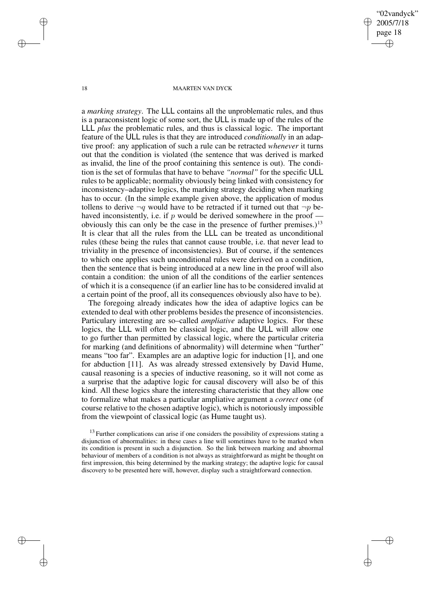"02vandyck" 2005/7/18 page 18 ✐ ✐

✐

✐

#### 18 MAARTEN VAN DYCK

a *marking strategy*. The LLL contains all the unproblematic rules, and thus is a paraconsistent logic of some sort, the ULL is made up of the rules of the LLL *plus* the problematic rules, and thus is classical logic. The important feature of the ULL rules is that they are introduced *conditionally* in an adaptive proof: any application of such a rule can be retracted *whenever* it turns out that the condition is violated (the sentence that was derived is marked as invalid, the line of the proof containing this sentence is out). The condition is the set of formulas that have to behave *"normal"* for the specific ULL rules to be applicable; normality obviously being linked with consistency for inconsistency–adaptive logics, the marking strategy deciding when marking has to occur. (In the simple example given above, the application of modus tollens to derive  $\neg q$  would have to be retracted if it turned out that  $\neg p$  behaved inconsistently, i.e. if  $p$  would be derived somewhere in the proof obviously this can only be the case in the presence of further premises.)<sup>13</sup> It is clear that all the rules from the LLL can be treated as unconditional rules (these being the rules that cannot cause trouble, i.e. that never lead to triviality in the presence of inconsistencies). But of course, if the sentences to which one applies such unconditional rules were derived on a condition, then the sentence that is being introduced at a new line in the proof will also contain a condition: the union of all the conditions of the earlier sentences of which it is a consequence (if an earlier line has to be considered invalid at a certain point of the proof, all its consequences obviously also have to be).

The foregoing already indicates how the idea of adaptive logics can be extended to deal with other problems besides the presence of inconsistencies. Particulary interesting are so–called *ampliative* adaptive logics. For these logics, the LLL will often be classical logic, and the ULL will allow one to go further than permitted by classical logic, where the particular criteria for marking (and definitions of abnormality) will determine when "further" means "too far". Examples are an adaptive logic for induction [1], and one for abduction [11]. As was already stressed extensively by David Hume, causal reasoning is a species of inductive reasoning, so it will not come as a surprise that the adaptive logic for causal discovery will also be of this kind. All these logics share the interesting characteristic that they allow one to formalize what makes a particular ampliative argument a *correct* one (of course relative to the chosen adaptive logic), which is notoriously impossible from the viewpoint of classical logic (as Hume taught us).

 $13$  Further complications can arise if one considers the possibility of expressions stating a disjunction of abnormalities: in these cases a line will sometimes have to be marked when its condition is present in such a disjunction. So the link between marking and abnormal behaviour of members of a condition is not always as straightforward as might be thought on first impression, this being determined by the marking strategy; the adaptive logic for causal discovery to be presented here will, however, display such a straightforward connection.

✐

✐

✐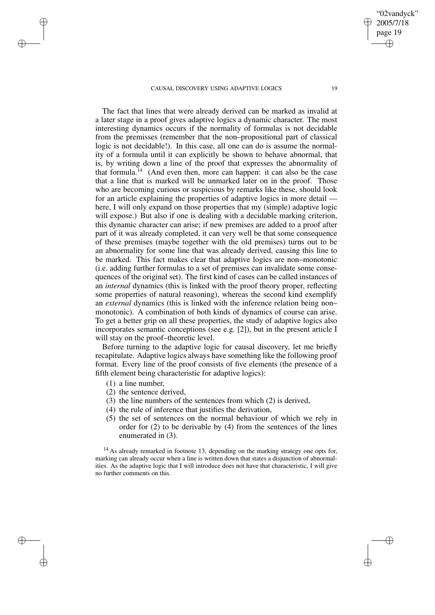The fact that lines that were already derived can be marked as invalid at a later stage in a proof gives adaptive logics a dynamic character. The most interesting dynamics occurs if the normality of formulas is not decidable from the premisses (remember that the non–propositional part of classical logic is not decidable!). In this case, all one can do is assume the normality of a formula until it can explicitly be shown to behave abnormal, that is, by writing down a line of the proof that expresses the abnormality of that formula.<sup> $14$ </sup> (And even then, more can happen: it can also be the case that a line that is marked will be unmarked later on in the proof. Those who are becoming curious or suspicious by remarks like these, should look for an article explaining the properties of adaptive logics in more detail here, I will only expand on those properties that my (simple) adaptive logic will expose.) But also if one is dealing with a decidable marking criterion, this dynamic character can arise; if new premises are added to a proof after part of it was already completed, it can very well be that some consequence of these premises (maybe together with the old premises) turns out to be an abnormality for some line that was already derived, causing this line to be marked. This fact makes clear that adaptive logics are non–monotonic (i.e. adding further formulas to a set of premises can invalidate some consequences of the original set). The first kind of cases can be called instances of an *internal* dynamics (this is linked with the proof theory proper, reflecting some properties of natural reasoning), whereas the second kind exemplify an *external* dynamics (this is linked with the inference relation being non– monotonic). A combination of both kinds of dynamics of course can arise. To get a better grip on all these properties, the study of adaptive logics also incorporates semantic conceptions (see e.g. [2]), but in the present article I will stay on the proof–theoretic level.

Before turning to the adaptive logic for causal discovery, let me briefly recapitulate. Adaptive logics always have something like the following proof format. Every line of the proof consists of five elements (the presence of a fifth element being characteristic for adaptive logics):

(1) a line number,

✐

✐

✐

✐

- (2) the sentence derived,
- (3) the line numbers of the sentences from which (2) is derived,
- (4) the rule of inference that justifies the derivation,
- (5) the set of sentences on the normal behaviour of which we rely in order for (2) to be derivable by (4) from the sentences of the lines enumerated in (3).

<sup>14</sup> As already remarked in footnote 13, depending on the marking strategy one opts for, marking can already occur when a line is written down that states a disjunction of abnormalities. As the adaptive logic that I will introduce does not have that characteristic, I will give no further comments on this.

"02vandyck" 2005/7/18 page 19

✐

✐

✐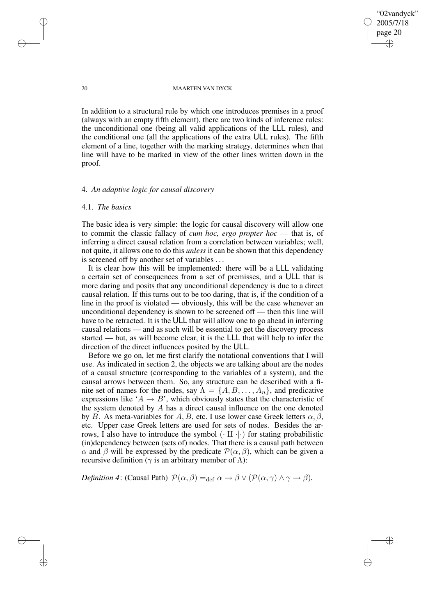"02vandyck" 2005/7/18 page 20 ✐ ✐

✐

✐

#### 20 MAARTEN VAN DYCK

In addition to a structural rule by which one introduces premises in a proof (always with an empty fifth element), there are two kinds of inference rules: the unconditional one (being all valid applications of the LLL rules), and the conditional one (all the applications of the extra ULL rules). The fifth element of a line, together with the marking strategy, determines when that line will have to be marked in view of the other lines written down in the proof.

## 4. *An adaptive logic for causal discovery*

## 4.1. *The basics*

The basic idea is very simple: the logic for causal discovery will allow one to commit the classic fallacy of *cum hoc, ergo propter hoc* — that is, of inferring a direct causal relation from a correlation between variables; well, not quite, it allows one to do this *unless* it can be shown that this dependency is screened off by another set of variables . . .

It is clear how this will be implemented: there will be a LLL validating a certain set of consequences from a set of premisses, and a ULL that is more daring and posits that any unconditional dependency is due to a direct causal relation. If this turns out to be too daring, that is, if the condition of a line in the proof is violated — obviously, this will be the case whenever an unconditional dependency is shown to be screened off — then this line will have to be retracted. It is the ULL that will allow one to go ahead in inferring causal relations — and as such will be essential to get the discovery process started — but, as will become clear, it is the LLL that will help to infer the direction of the direct influences posited by the ULL.

Before we go on, let me first clarify the notational conventions that I will use. As indicated in section 2, the objects we are talking about are the nodes of a causal structure (corresponding to the variables of a system), and the causal arrows between them. So, any structure can be described with a finite set of names for the nodes, say  $\Lambda = \{A, B, \ldots, A_n\}$ , and predicative expressions like ' $A \rightarrow B$ ', which obviously states that the characteristic of the system denoted by A has a direct causal influence on the one denoted by B. As meta-variables for A, B, etc. I use lower case Greek letters  $\alpha, \beta$ , etc. Upper case Greek letters are used for sets of nodes. Besides the arrows, I also have to introduce the symbol  $(\cdot \text{II} \cdot | \cdot)$  for stating probabilistic (in)dependency between (sets of) nodes. That there is a causal path between  $\alpha$  and  $\beta$  will be expressed by the predicate  $\mathcal{P}(\alpha, \beta)$ , which can be given a recursive definition ( $\gamma$  is an arbitrary member of  $\Lambda$ ):

*Definition* 4: (Causal Path)  $\mathcal{P}(\alpha, \beta) =_{\text{def}} \alpha \rightarrow \beta \vee (\mathcal{P}(\alpha, \gamma) \wedge \gamma \rightarrow \beta)$ *.* 

✐

✐

✐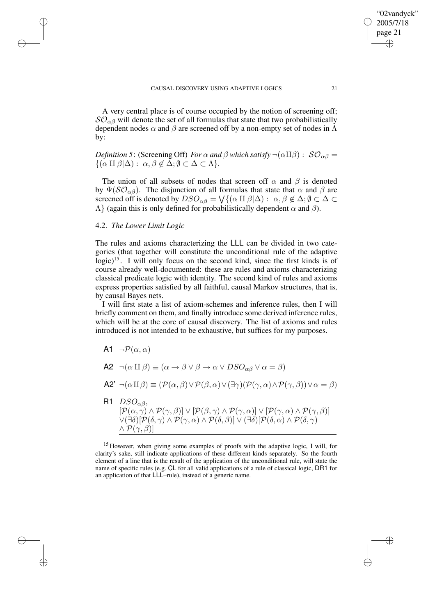A very central place is of course occupied by the notion of screening off;  $SO_{\alpha\beta}$  will denote the set of all formulas that state that two probabilistically dependent nodes  $\alpha$  and  $\beta$  are screened off by a non-empty set of nodes in  $\Lambda$ by:

*Definition* 5: (Screening Off) *For*  $\alpha$  *and*  $\beta$  *which satisfy*  $\neg(\alpha \Pi \beta)$  :  $S\mathcal{O}_{\alpha\beta}$  =  $\{(\alpha \amalg \beta | \Delta) : \alpha, \beta \notin \Delta; \emptyset \subset \Delta \subset \Lambda\}.$ 

The union of all subsets of nodes that screen off  $\alpha$  and  $\beta$  is denoted by  $\Psi(\mathcal{SO}_{\alpha\beta})$ . The disjunction of all formulas that state that  $\alpha$  and  $\beta$  are screened off is denoted by  $DSO_{\alpha\beta} = \bigvee \{(\alpha \amalg \beta | \Delta) : \alpha, \beta \notin \Delta; \emptyset \subset \Delta \subset \Delta \}$  $\Lambda$ } (again this is only defined for probabilistically dependent  $\alpha$  and  $\beta$ ).

## 4.2. *The Lower Limit Logic*

✐

✐

✐

✐

The rules and axioms characterizing the LLL can be divided in two categories (that together will constitute the unconditional rule of the adaptive logic)<sup>15</sup>. I will only focus on the second kind, since the first kinds is of course already well-documented: these are rules and axioms characterizing classical predicate logic with identity. The second kind of rules and axioms express properties satisfied by all faithful, causal Markov structures, that is, by causal Bayes nets.

I will first state a list of axiom-schemes and inference rules, then I will briefly comment on them, and finally introduce some derived inference rules, which will be at the core of causal discovery. The list of axioms and rules introduced is not intended to be exhaustive, but suffices for my purposes.

- A1  $\neg P(\alpha, \alpha)$
- A2  $\neg(\alpha \amalg \beta) \equiv (\alpha \rightarrow \beta \vee \beta \rightarrow \alpha \vee DSO_{\alpha\beta} \vee \alpha = \beta)$
- A2'  $\neg(\alpha \amalg \beta) \equiv (\mathcal{P}(\alpha, \beta) \vee \mathcal{P}(\beta, \alpha) \vee (\exists \gamma)(\mathcal{P}(\gamma, \alpha) \wedge \mathcal{P}(\gamma, \beta)) \vee \alpha = \beta)$
- R1  $DSO_{\alpha\beta}$  $\left[ \mathcal{P}(\alpha, \gamma) \land \mathcal{P}(\gamma, \beta) \right] \lor \left[ \mathcal{P}(\beta, \gamma) \land \mathcal{P}(\gamma, \alpha) \right] \lor \left[ \mathcal{P}(\gamma, \alpha) \land \mathcal{P}(\gamma, \beta) \right]$  $\vee$ (∃δ)[ $\mathcal{P}(\delta, \gamma) \wedge \mathcal{P}(\gamma, \alpha) \wedge \mathcal{P}(\delta, \beta)] \vee (\exists \delta) [\mathcal{P}(\delta, \alpha) \wedge \mathcal{P}(\delta, \gamma)]$  $\wedge \mathcal{P}(\gamma, \beta)$ ]

<sup>15</sup> However, when giving some examples of proofs with the adaptive logic, I will, for clarity's sake, still indicate applications of these different kinds separately. So the fourth element of a line that is the result of the application of the unconditional rule, will state the name of specific rules (e.g. CL for all valid applications of a rule of classical logic, DR1 for an application of that LLL–rule), instead of a generic name.

"02vandyck" 2005/7/18 page 21

✐

✐

✐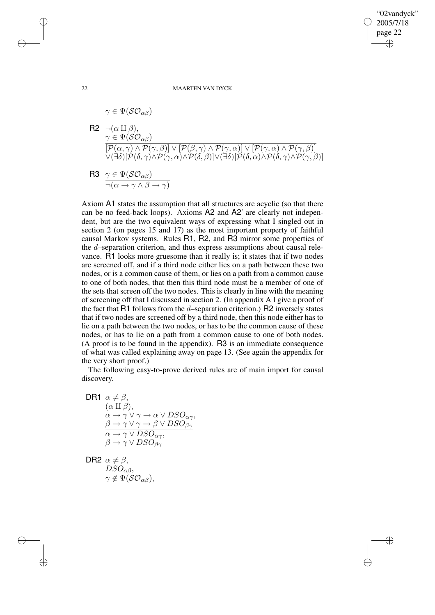✐

✐

#### 22 MAARTEN VAN DYCK

$$
\gamma \in \Psi(\mathcal{SO}_{\alpha\beta})
$$
  
\nR2  $\neg(\alpha \amalg \beta)$ ,  
\n $\gamma \in \Psi(\mathcal{SO}_{\alpha\beta})$   
\n $[\overline{P}(\alpha, \gamma) \land \overline{P}(\gamma, \beta)] \lor [\overline{P}(\beta, \gamma) \land \overline{P}(\gamma, \alpha)] \lor [\overline{P}(\gamma, \alpha) \land \overline{P}(\gamma, \beta)]$   
\n $\lor (\exists \delta) [\overline{P}(\delta, \gamma) \land \overline{P}(\gamma, \alpha) \land \overline{P}(\delta, \beta)] \lor (\exists \delta) [\overline{P}(\delta, \alpha) \land \overline{P}(\delta, \gamma) \land \overline{P}(\gamma, \beta)]$   
\nR3  $\gamma \in \Psi(\mathcal{SO}_{\alpha\beta})$   
\n $\neg(\alpha \rightarrow \gamma \land \beta \rightarrow \gamma)$ 

Axiom A1 states the assumption that all structures are acyclic (so that there can be no feed-back loops). Axioms A2 and A2' are clearly not independent, but are the two equivalent ways of expressing what I singled out in section 2 (on pages 15 and 17) as the most important property of faithful causal Markov systems. Rules R1, R2, and R3 mirror some properties of the d–separation criterion, and thus express assumptions about causal relevance. R1 looks more gruesome than it really is; it states that if two nodes are screened off, and if a third node either lies on a path between these two nodes, or is a common cause of them, or lies on a path from a common cause to one of both nodes, that then this third node must be a member of one of the sets that screen off the two nodes. This is clearly in line with the meaning of screening off that I discussed in section 2. (In appendix A I give a proof of the fact that R1 follows from the d–separation criterion.) R2 inversely states that if two nodes are screened off by a third node, then this node either has to lie on a path between the two nodes, or has to be the common cause of these nodes, or has to lie on a path from a common cause to one of both nodes. (A proof is to be found in the appendix). R3 is an immediate consequence of what was called explaining away on page 13. (See again the appendix for the very short proof.)

The following easy-to-prove derived rules are of main import for causal discovery.

$$
\begin{array}{ll}\n\textsf{D}\textsf{R1} & \alpha \neq \beta, \\
(\alpha \amalg \beta), & \alpha \to \gamma \lor \gamma \to \alpha \lor DSO_{\alpha\gamma}, \\
\beta \to \gamma \lor \gamma \to \beta \lor DSO_{\beta\gamma} \\
\hline\n\alpha \to \gamma \lor DSO_{\alpha\gamma}, & \beta \to \gamma \lor DSO_{\beta\gamma}\n\end{array}
$$

DR2  $\alpha \neq \beta$ ,  $DSO_{\alpha\beta},$  $\gamma \notin \Psi(\mathcal{SO}_{\alpha\beta}),$ 

✐

✐

✐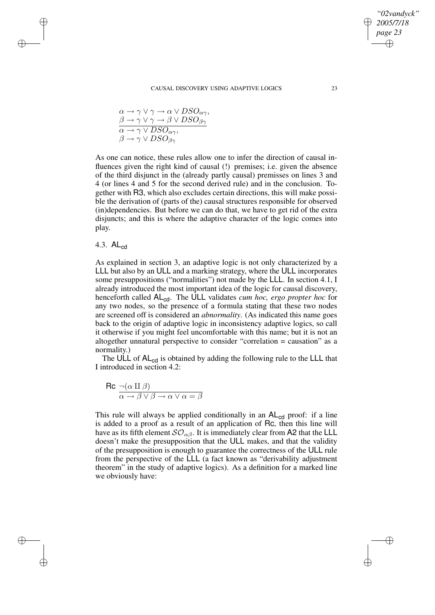$$
\alpha \to \gamma \lor \gamma \to \alpha \lor DSO_{\alpha\gamma},
$$
  
\n
$$
\beta \to \gamma \lor \gamma \to \beta \lor DSO_{\beta\gamma},
$$
  
\n
$$
\alpha \to \gamma \lor DSO_{\alpha\gamma},
$$
  
\n
$$
\beta \to \gamma \lor DSO_{\beta\gamma}
$$

As one can notice, these rules allow one to infer the direction of causal influences given the right kind of causal (!) premises; i.e. given the absence of the third disjunct in the (already partly causal) premisses on lines 3 and 4 (or lines 4 and 5 for the second derived rule) and in the conclusion. Together with R3, which also excludes certain directions, this will make possible the derivation of (parts of the) causal structures responsible for observed (in)dependencies. But before we can do that, we have to get rid of the extra disjuncts; and this is where the adaptive character of the logic comes into play.

# 4.3. ALcd

✐

✐

✐

✐

As explained in section 3, an adaptive logic is not only characterized by a LLL but also by an ULL and a marking strategy, where the ULL incorporates some presuppositions ("normalities") not made by the LLL. In section 4.1, I already introduced the most important idea of the logic for causal discovery, henceforth called ALcd. The ULL validates *cum hoc, ergo propter hoc* for any two nodes, so the presence of a formula stating that these two nodes are screened off is considered an *abnormality*. (As indicated this name goes back to the origin of adaptive logic in inconsistency adaptive logics, so call it otherwise if you might feel uncomfortable with this name; but it is not an altogether unnatural perspective to consider "correlation = causation" as a normality.)

The ULL of AL<sub>cd</sub> is obtained by adding the following rule to the LLL that I introduced in section 4.2:

$$
\mathsf{Rc} \frac{\neg(\alpha \amalg \beta)}{\alpha \to \beta \lor \beta \to \alpha \lor \alpha = \beta}
$$

This rule will always be applied conditionally in an  $AL_{cd}$  proof: if a line is added to a proof as a result of an application of Rc, then this line will have as its fifth element  $SO_{\alpha\beta}$ . It is immediately clear from A2 that the LLL doesn't make the presupposition that the ULL makes, and that the validity of the presupposition is enough to guarantee the correctness of the ULL rule from the perspective of the LLL (a fact known as "derivability adjustment theorem" in the study of adaptive logics). As a definition for a marked line we obviously have:

*"02vandyck" 2005/7/18 page 23*

✐

✐

✐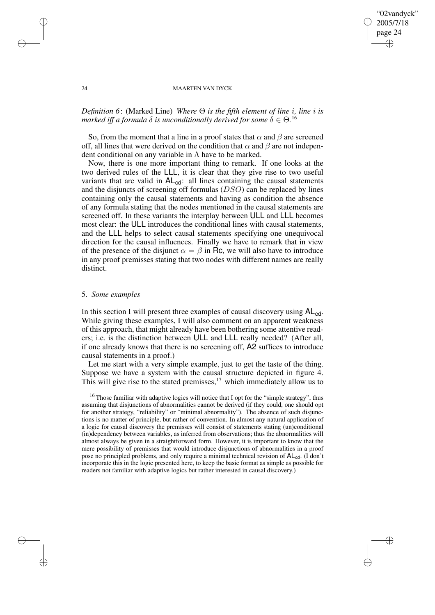## 24 MAARTEN VAN DYCK

"02vandyck" 2005/7/18 page 24

✐

✐

✐

✐

# *Definition 6*: (Marked Line) *Where* Θ *is the fifth element of line* i*, line* i *is marked iff a formula*  $\delta$  *is unconditionally derived for some*  $\delta \in \Theta$ *.*<sup>16</sup>

So, from the moment that a line in a proof states that  $\alpha$  and  $\beta$  are screened off, all lines that were derived on the condition that  $\alpha$  and  $\beta$  are not independent conditional on any variable in  $\Lambda$  have to be marked.

Now, there is one more important thing to remark. If one looks at the two derived rules of the LLL, it is clear that they give rise to two useful variants that are valid in  $AL_{cd}$ : all lines containing the causal statements and the disjuncts of screening off formulas (DSO) can be replaced by lines containing only the causal statements and having as condition the absence of any formula stating that the nodes mentioned in the causal statements are screened off. In these variants the interplay between ULL and LLL becomes most clear: the ULL introduces the conditional lines with causal statements, and the LLL helps to select causal statements specifying one unequivocal direction for the causal influences. Finally we have to remark that in view of the presence of the disjunct  $\alpha = \beta$  in Rc, we will also have to introduce in any proof premisses stating that two nodes with different names are really distinct.

#### 5. *Some examples*

In this section I will present three examples of causal discovery using  $AL_{cd}$ . While giving these examples, I will also comment on an apparent weakness of this approach, that might already have been bothering some attentive readers; i.e. is the distinction between ULL and LLL really needed? (After all, if one already knows that there is no screening off, A2 suffices to introduce causal statements in a proof.)

Let me start with a very simple example, just to get the taste of the thing. Suppose we have a system with the causal structure depicted in figure 4. This will give rise to the stated premisses, $17$  which immediately allow us to

<sup>16</sup> Those familiar with adaptive logics will notice that I opt for the "simple strategy", thus assuming that disjunctions of abnormalities cannot be derived (if they could, one should opt for another strategy, "reliability" or "minimal abnormality"). The absence of such disjunctions is no matter of principle, but rather of convention. In almost any natural application of a logic for causal discovery the premisses will consist of statements stating (un)conditional (in)dependency between variables, as inferred from observations; thus the abnormalities will almost always be given in a straightforward form. However, it is important to know that the mere possibility of premisses that would introduce disjunctions of abnormalities in a proof pose no principled problems, and only require a minimal technical revision of  $AL_{cd}$ . (I don't incorporate this in the logic presented here, to keep the basic format as simple as possible for readers not familiar with adaptive logics but rather interested in causal discovery.)

✐

✐

✐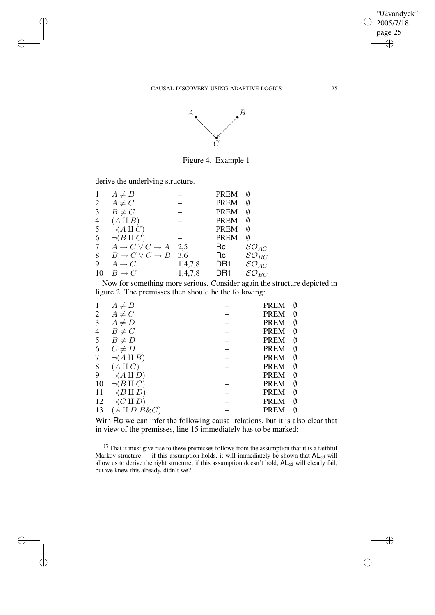

Figure 4. Example 1

derive the underlying structure.

✐

✐

 $\bigoplus$ 

✐

| 1              | $A \neq B$                 |         | <b>PREM</b>     |                     |
|----------------|----------------------------|---------|-----------------|---------------------|
| 2              | $A \neq C$                 |         | <b>PREM</b>     |                     |
| 3              | $B \neq C$                 |         | <b>PREM</b>     |                     |
| $\overline{4}$ | $(A \amalg B)$             |         | <b>PREM</b>     |                     |
| 5              | $\neg(A \amalg C)$         |         | <b>PREM</b>     | Ø                   |
| 6              | $\neg(B \amalg C)$         |         | <b>PREM</b>     | Ø                   |
| 7              | $A \to C \vee C \to A$     | 2.5     | Rc              | $SO_{AC}$           |
| 8              | $B \to C \vee C \to B$ 3.6 |         | Rc              | $\mathcal{SO}_{BC}$ |
| 9              | $A \rightarrow C$          | 1,4,7,8 | DR1             | $SO_{AC}$           |
| 10             | $B \to C$                  | 1,4,7,8 | DR <sub>1</sub> | $\mathcal{SO}_{BC}$ |
|                |                            |         |                 |                     |

Now for something more serious. Consider again the structure depicted in figure 2. The premisses then should be the following:

|    | $A \neq B$         | Ø<br><b>PREM</b> |  |
|----|--------------------|------------------|--|
| 2  | $A \neq C$         | <b>PREM</b><br>Ø |  |
| 3  | $A \neq D$         | <b>PREM</b><br>Ø |  |
| 4  | $B \neq C$         | <b>PREM</b><br>Ø |  |
| 5  | $B \neq D$         | <b>PREM</b><br>Ø |  |
| 6  | $C \neq D$         | <b>PREM</b><br>Ø |  |
|    | $\neg(A \amalg B)$ | <b>PREM</b><br>Ø |  |
| 8  | $A \amalg C$       | <b>PREM</b><br>Ø |  |
| 9  | $(A \amalg D)$     | <b>PREM</b><br>Ø |  |
| 10 | $B \amalg C$       | <b>PREM</b><br>Ø |  |
|    | ш                  | <b>PREM</b><br>Ø |  |
| 12 | $(C \amalg D)$     | Ø<br><b>PREM</b> |  |
| 13 | $ B\&C\rangle$     | <b>PREM</b><br>Ø |  |
|    |                    |                  |  |

With Rc we can infer the following causal relations, but it is also clear that in view of the premisses, line 15 immediately has to be marked:

 $17$  That it must give rise to these premisses follows from the assumption that it is a faithful Markov structure — if this assumption holds, it will immediately be shown that  $AL_{cd}$  will allow us to derive the right structure; if this assumption doesn't hold,  $AL_{cd}$  will clearly fail, but we knew this already, didn't we?

"02vandyck" 2005/7/18 page 25

✐

 $\bigoplus$ 

✐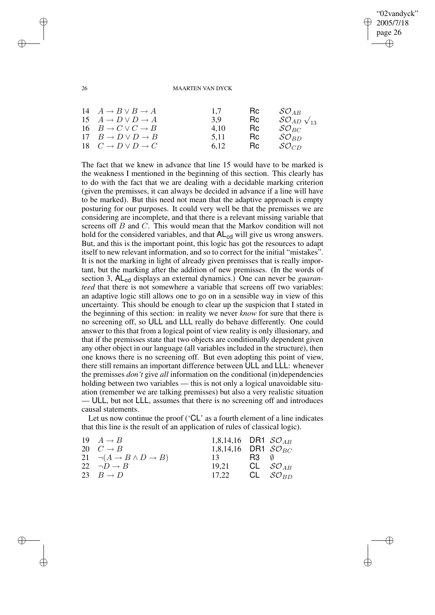## "02vandyck" 2005/7/18 page 26 ✐ ✐

✐

✐

#### 26 MAARTEN VAN DYCK

| 15 $A \rightarrow D \vee D \rightarrow A$<br><b>Rc</b><br>3.9<br>16 $B \to C \vee C \to B$<br>$\mathcal{SO}_{BC}$<br>4.10<br>Rc.<br>17 $B \to D \lor D \to B$<br>$SO_{BD}$<br>Rc.<br>5.11<br>18 $C \to D \lor D \to C$<br>$SO_{CD}$<br>Rc.<br>6.12 |  | 14 $A \rightarrow B \vee B \rightarrow A$ | 1.7 | Hc. | $\mathcal{SO}_{AB}$<br>$SO_{AD}$ $\sqrt{13}$ |
|----------------------------------------------------------------------------------------------------------------------------------------------------------------------------------------------------------------------------------------------------|--|-------------------------------------------|-----|-----|----------------------------------------------|
|----------------------------------------------------------------------------------------------------------------------------------------------------------------------------------------------------------------------------------------------------|--|-------------------------------------------|-----|-----|----------------------------------------------|

The fact that we knew in advance that line 15 would have to be marked is the weakness I mentioned in the beginning of this section. This clearly has to do with the fact that we are dealing with a decidable marking criterion (given the premisses, it can always be decided in advance if a line will have to be marked). But this need not mean that the adaptive approach is empty posturing for our purposes. It could very well be that the premisses we are considering are incomplete, and that there is a relevant missing variable that screens off B and C. This would mean that the Markov condition will not hold for the considered variables, and that  $AL_{cd}$  will give us wrong answers. But, and this is the important point, this logic has got the resources to adapt itself to new relevant information, and so to correct for the initial "mistakes". It is not the marking in light of already given premisses that is really important, but the marking after the addition of new premisses. (In the words of section 3, AL<sub>cd</sub> displays an external dynamics.) One can never be *guaranteed* that there is not somewhere a variable that screens off two variables: an adaptive logic still allows one to go on in a sensible way in view of this uncertainty. This should be enough to clear up the suspicion that I stated in the beginning of this section: in reality we never *know* for sure that there is no screening off, so ULL and LLL really do behave differently. One could answer to this that from a logical point of view reality is only illusionary, and that if the premisses state that two objects are conditionally dependent given any other object in our language (all variables included in the structure), then one knows there is no screening off. But even adopting this point of view, there still remains an important difference between ULL and LLL: whenever the premisses *don't* give *all* information on the conditional (in)dependencies holding between two variables — this is not only a logical unavoidable situation (remember we are talking premisses) but also a very realistic situation — ULL, but not LLL, assumes that there is no screening off and introduces causal statements.

Let us now continue the proof ('CL' as a fourth element of a line indicates that this line is the result of an application of rules of classical logic).

| 19 $A \rightarrow B$                             | 1,8,14,16 DR1 $SO_{AB}$           |                        |
|--------------------------------------------------|-----------------------------------|------------------------|
| 20 $C \rightarrow B$                             | 1,8,14,16 DR1 $\mathcal{SO}_{BC}$ |                        |
| 21 $\neg(A \rightarrow B \land D \rightarrow B)$ | 13 R3 $\emptyset$                 |                        |
| 22 $\neg D \rightarrow B$                        | 19.21                             | CL $\mathcal{SO}_{AB}$ |
| 23 $B \rightarrow D$                             | 17.22                             | CL $SO_{BD}$           |
|                                                  |                                   |                        |

✐

✐

✐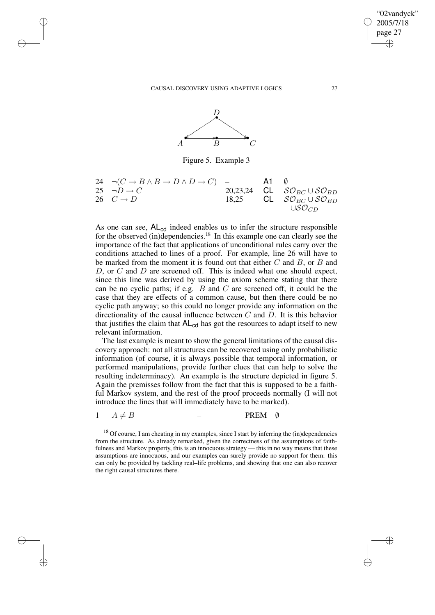✐

✐

✐

✐



Figure 5. Example 3

| 24                | $\neg(C \rightarrow B \land B \rightarrow D \land D \rightarrow C)$ | -        | <b>A1</b> $\emptyset$ |                                            |
|-------------------|---------------------------------------------------------------------|----------|-----------------------|--------------------------------------------|
| 25                | $\neg D \rightarrow C$                                              | 20,23,24 | <b>CL</b>             | $\mathcal{SO}_{BC} \cup \mathcal{SO}_{BD}$ |
| 26                | $C \rightarrow D$                                                   | 18,25    | <b>CL</b>             | $\mathcal{SO}_{BC} \cup \mathcal{SO}_{BD}$ |
| USO <sub>CD</sub> | USO <sub>CD</sub>                                                   |          |                       |                                            |

As one can see,  $AL_{cd}$  indeed enables us to infer the structure responsible for the observed (in)dependencies.<sup>18</sup> In this example one can clearly see the importance of the fact that applications of unconditional rules carry over the conditions attached to lines of a proof. For example, line 26 will have to be marked from the moment it is found out that either  $C$  and  $B$ , or  $B$  and  $D$ , or  $C$  and  $D$  are screened off. This is indeed what one should expect, since this line was derived by using the axiom scheme stating that there can be no cyclic paths; if e.g.  $B$  and  $C$  are screened off, it could be the case that they are effects of a common cause, but then there could be no cyclic path anyway; so this could no longer provide any information on the directionality of the causal influence between  $C$  and  $D$ . It is this behavior that justifies the claim that  $AL_{cd}$  has got the resources to adapt itself to new relevant information.

The last example is meant to show the general limitations of the causal discovery approach: not all structures can be recovered using only probabilistic information (of course, it is always possible that temporal information, or performed manipulations, provide further clues that can help to solve the resulting indeterminacy). An example is the structure depicted in figure 5. Again the premisses follow from the fact that this is supposed to be a faithful Markov system, and the rest of the proof proceeds normally (I will not introduce the lines that will immediately have to be marked).

 $1 \quad A \neq B$  – PREM Ø

 $18$  Of course, I am cheating in my examples, since I start by inferring the (in)dependencies from the structure. As already remarked, given the correctness of the assumptions of faithfulness and Markov property, this is an innocuous strategy — this in no way means that these assumptions are innocuous, and our examples can surely provide no support for them: this can only be provided by tackling real–life problems, and showing that one can also recover the right causal structures there.

"02vandyck" 2005/7/18 page 27

✐

✐

✐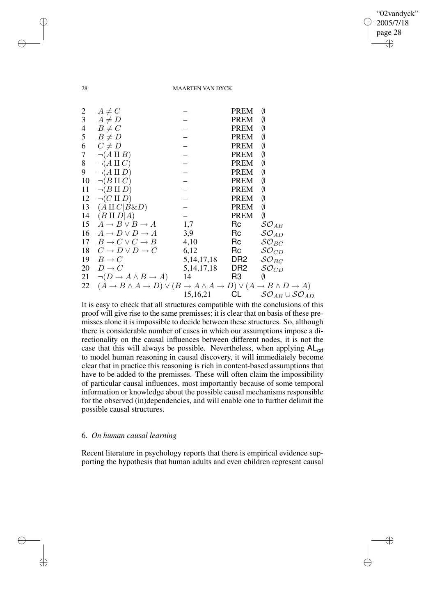"02vandyck" 2005/7/18 page 28 ✐ ✐

✐

✐

## 28 MAARTEN VAN DYCK

| $\overline{c}$ | $A \neq C$                                                                                                                             |               | <b>PREM</b>     | Ø                                         |
|----------------|----------------------------------------------------------------------------------------------------------------------------------------|---------------|-----------------|-------------------------------------------|
| $\mathfrak{Z}$ | $A \neq D$                                                                                                                             |               | PREM            | Ø                                         |
| $\overline{4}$ | $B \neq C$                                                                                                                             |               | PREM            | Ø                                         |
| 5              | $B \neq D$                                                                                                                             |               | <b>PREM</b>     | Ø                                         |
| 6              | $C \neq D$                                                                                                                             |               | <b>PREM</b>     | Ø                                         |
| 7              | $\neg(A \amalg B)$                                                                                                                     |               | <b>PREM</b>     | Ø                                         |
| 8              | $\neg(A \amalg C)$                                                                                                                     |               | <b>PREM</b>     | Ø                                         |
| 9              | $\neg(A \amalg D)$                                                                                                                     |               | <b>PREM</b>     | Ø                                         |
| 10             | $\neg(B \amalg C)$                                                                                                                     |               | PREM            | Ø                                         |
| 11             | $\neg(B \amalg D)$                                                                                                                     |               | <b>PREM</b>     | Ø                                         |
| 12             | $\neg(C \amalg D)$                                                                                                                     |               | <b>PREM</b>     | Ø                                         |
|                | 13 $(A \amalg C   B \& D)$                                                                                                             |               | <b>PREM</b>     | Ø                                         |
| 14             | $(B \amalg D   A)$                                                                                                                     |               | <b>PREM</b>     | Ø                                         |
| 15             | $A \rightarrow B \vee B \rightarrow A$                                                                                                 | 1,7           | Rc              | $\mathcal{SO}_{AB}$                       |
|                | 16 $A \rightarrow D \vee D \rightarrow A$                                                                                              | 3,9           | $\sf RC$        | $\mathcal{SO}_{AD}$                       |
|                | 17 $B \to C \vee C \to B$                                                                                                              | 4,10          | Rc              | $\mathcal{SO}_{BC}$                       |
|                | 18 $C \rightarrow D \vee D \rightarrow C$                                                                                              | 6,12          | Rc              | $\mathcal{SO}_{CD}$                       |
|                | 19 $B \rightarrow C$                                                                                                                   | 5, 14, 17, 18 | DR2             | $\mathcal{SO}_{BC}$                       |
|                | 20 $D \rightarrow C$                                                                                                                   | 5, 14, 17, 18 | DR <sub>2</sub> | $\mathcal{SO}_{CD}$                       |
|                | 21 $\neg(D \rightarrow A \land B \rightarrow A)$                                                                                       | - 14          | R3              | Ø                                         |
|                | 22 $(A \rightarrow B \land A \rightarrow D) \lor (B \rightarrow A \land A \rightarrow D) \lor (A \rightarrow B \land D \rightarrow A)$ |               |                 |                                           |
|                |                                                                                                                                        | 15,16,21      | CL              | $\mathcal{SO}_{AB}\cup \mathcal{SO}_{AD}$ |
|                |                                                                                                                                        |               |                 |                                           |

It is easy to check that all structures compatible with the conclusions of this proof will give rise to the same premisses; it is clear that on basis of these premisses alone it isimpossible to decide between these structures. So, although there is considerable number of cases in which our assumptions impose a directionality on the causal influences between different nodes, it is not the case that this will always be possible. Nevertheless, when applying  $AL_{cd}$ to model human reasoning in causal discovery, it will immediately become clear that in practice this reasoning is rich in content-based assumptions that have to be added to the premisses. These will often claim the impossibility of particular causal influences, most importantly because of some temporal information or knowledge about the possible causal mechanisms responsible for the observed (in)dependencies, and will enable one to further delimit the possible causal structures.

## 6. *On human causal learning*

Recent literature in psychology reports that there is empirical evidence supporting the hypothesis that human adults and even children represent causal

✐

✐

✐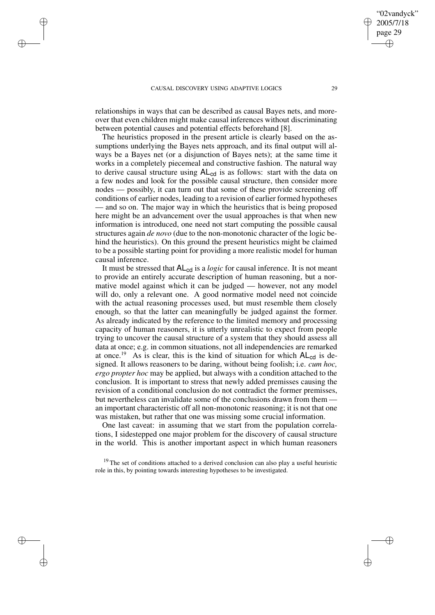✐

✐

✐

✐

relationships in ways that can be described as causal Bayes nets, and moreover that even children might make causal inferences without discriminating between potential causes and potential effects beforehand [8].

The heuristics proposed in the present article is clearly based on the assumptions underlying the Bayes nets approach, and its final output will always be a Bayes net (or a disjunction of Bayes nets); at the same time it works in a completely piecemeal and constructive fashion. The natural way to derive causal structure using  $AL_{cd}$  is as follows: start with the data on a few nodes and look for the possible causal structure, then consider more nodes — possibly, it can turn out that some of these provide screening off conditions of earlier nodes, leading to a revision of earlier formed hypotheses — and so on. The major way in which the heuristics that is being proposed here might be an advancement over the usual approaches is that when new information is introduced, one need not start computing the possible causal structures again *de novo* (due to the non-monotonic character of the logic behind the heuristics). On this ground the present heuristics might be claimed to be a possible starting point for providing a more realistic model for human causal inference.

It must be stressed that  $AL_{cd}$  is a *logic* for causal inference. It is not meant to provide an entirely accurate description of human reasoning, but a normative model against which it can be judged — however, not any model will do, only a relevant one. A good normative model need not coincide with the actual reasoning processes used, but must resemble them closely enough, so that the latter can meaningfully be judged against the former. As already indicated by the reference to the limited memory and processing capacity of human reasoners, it is utterly unrealistic to expect from people trying to uncover the causal structure of a system that they should assess all data at once; e.g. in common situations, not all independencies are remarked at once.<sup>19</sup> As is clear, this is the kind of situation for which  $AL_{cd}$  is designed. It allows reasoners to be daring, without being foolish; i.e. *cum hoc, ergo propter hoc* may be applied, but always with a condition attached to the conclusion. It is important to stress that newly added premisses causing the revision of a conditional conclusion do not contradict the former premisses, but nevertheless can invalidate some of the conclusions drawn from them an important characteristic off all non-monotonic reasoning; it is not that one was mistaken, but rather that one was missing some crucial information.

One last caveat: in assuming that we start from the population correlations, I sidestepped one major problem for the discovery of causal structure in the world. This is another important aspect in which human reasoners

 $19$  The set of conditions attached to a derived conclusion can also play a useful heuristic role in this, by pointing towards interesting hypotheses to be investigated.

02vandyck' 2005/7/18 page 29

✐

✐

✐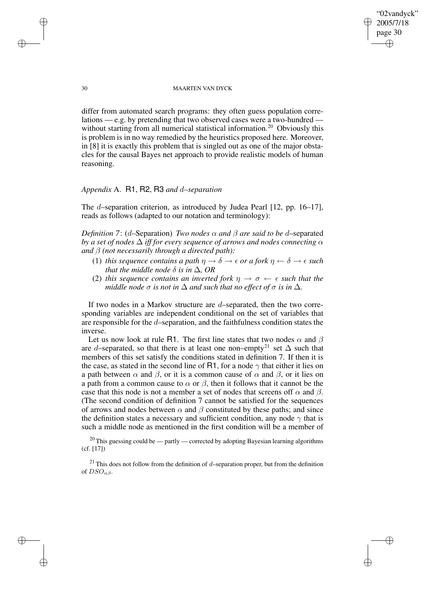30 MAARTEN VAN DYCK

"02vandyck" 2005/7/18 page 30

✐

✐

✐

✐

differ from automated search programs: they often guess population correlations — e.g. by pretending that two observed cases were a two-hundred without starting from all numerical statistical information.<sup>20</sup> Obviously this is problem is in no way remedied by the heuristics proposed here. Moreover, in [8] it is exactly this problem that is singled out as one of the major obstacles for the causal Bayes net approach to provide realistic models of human reasoning.

# *Appendix* A. R1, R2, R3 *and* d*–separation*

The d–separation criterion, as introduced by Judea Pearl [12, pp. 16–17], reads as follows (adapted to our notation and terminology):

*Definition* 7: (d–Separation) *Two nodes*  $\alpha$  *and*  $\beta$  *are said to be* d–separated *by a set of nodes* ∆ *iff for every sequence of arrows and nodes connecting* α *and* β *(not necessarily through a directed path):*

- (1) *this sequence contains a path*  $\eta \to \delta \to \epsilon$  *or a fork*  $\eta \leftarrow \delta \to \epsilon$  *such that the middle node*  $\delta$  *is in*  $\Delta$ *, OR*
- (2) *this sequence contains an inverted fork*  $n \rightarrow \sigma \leftarrow \epsilon$  *such that the middle node*  $\sigma$  *is not in*  $\Delta$  *and such that no effect of*  $\sigma$  *is in*  $\Delta$ *.*

If two nodes in a Markov structure are d–separated, then the two corresponding variables are independent conditional on the set of variables that are responsible for the d–separation, and the faithfulness condition states the inverse.

Let us now look at rule R1. The first line states that two nodes  $\alpha$  and  $\beta$ are d–separated, so that there is at least one non–empty<sup>21</sup> set  $\Delta$  such that members of this set satisfy the conditions stated in definition 7. If then it is the case, as stated in the second line of R1, for a node  $\gamma$  that either it lies on a path between  $\alpha$  and  $\beta$ , or it is a common cause of  $\alpha$  and  $\beta$ , or it lies on a path from a common cause to  $\alpha$  or  $\beta$ , then it follows that it cannot be the case that this node is not a member a set of nodes that screens off  $\alpha$  and  $\beta$ . (The second condition of definition 7 cannot be satisfied for the sequences of arrows and nodes between  $\alpha$  and  $\beta$  constituted by these paths; and since the definition states a necessary and sufficient condition, any node  $\gamma$  that is such a middle node as mentioned in the first condition will be a member of

 $^{20}$  This guessing could be — partly — corrected by adopting Bayesian learning algorithms (cf. [17])

 $21$  This does not follow from the definition of d–separation proper, but from the definition of  $DSO_{\alpha\beta}$ .

✐

✐

✐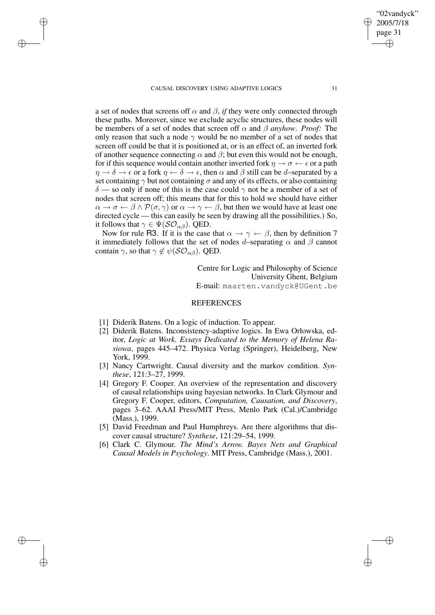✐

✐

✐

✐

a set of nodes that screens off  $\alpha$  and  $\beta$ , *if* they were only connected through these paths. Moreover, since we exclude acyclic structures, these nodes will be members of a set of nodes that screen off  $\alpha$  and  $\beta$  *anyhow. Proof:* The only reason that such a node  $\gamma$  would be no member of a set of nodes that screen off could be that it is positioned at, or is an effect of, an inverted fork of another sequence connecting  $\alpha$  and  $\beta$ ; but even this would not be enough, for if this sequence would contain another inverted fork  $\eta \to \sigma \leftarrow \epsilon$  or a path  $\eta \to \delta \to \epsilon$  or a fork  $\eta \leftarrow \delta \to \epsilon$ , then  $\alpha$  and  $\beta$  still can be d–separated by a set containing  $\gamma$  but not containing  $\sigma$  and any of its effects, or also containing  $\delta$  — so only if none of this is the case could  $\gamma$  not be a member of a set of nodes that screen off; this means that for this to hold we should have either  $\alpha \to \sigma \leftarrow \beta \wedge \mathcal{P}(\sigma, \gamma)$  or  $\alpha \to \gamma \leftarrow \beta$ , but then we would have at least one directed cycle — this can easily be seen by drawing all the possibilities.) So, it follows that  $\gamma \in \Psi(\mathcal{SO}_{\alpha\beta})$ . QED.

Now for rule R3. If it is the case that  $\alpha \to \gamma \leftarrow \beta$ , then by definition 7 it immediately follows that the set of nodes d–separating  $\alpha$  and  $\beta$  cannot contain  $\gamma$ , so that  $\gamma \notin \psi(\mathcal{SO}_{\alpha\beta})$ . QED.

> Centre for Logic and Philosophy of Science University Ghent, Belgium E-mail: maarten.vandyck@UGent.be

## REFERENCES

- [1] Diderik Batens. On a logic of induction. To appear.
- [2] Diderik Batens. Inconsistency-adaptive logics. In Ewa Orłowska, editor, *Logic at Work. Essays Dedicated to the Memory of Helena Rasiowa*, pages 445–472. Physica Verlag (Springer), Heidelberg, New York, 1999.
- [3] Nancy Cartwright. Causal diversity and the markov condition. *Synthese*, 121:3–27, 1999.
- [4] Gregory F. Cooper. An overview of the representation and discovery of causal relationships using bayesian networks. In Clark Glymour and Gregory F. Cooper, editors, *Computation, Causation, and Discovery*, pages 3–62. AAAI Press/MIT Press, Menlo Park (Cal.)/Cambridge (Mass.), 1999.
- [5] David Freedman and Paul Humphreys. Are there algorithms that discover causal structure? *Synthese*, 121:29–54, 1999.
- [6] Clark C. Glymour. *The Mind's Arrow. Bayes Nets and Graphical Causal Models in Psychology*. MIT Press, Cambridge (Mass.), 2001.

"02vandyck" 2005/7/18 page 31 ✐ ✐

✐